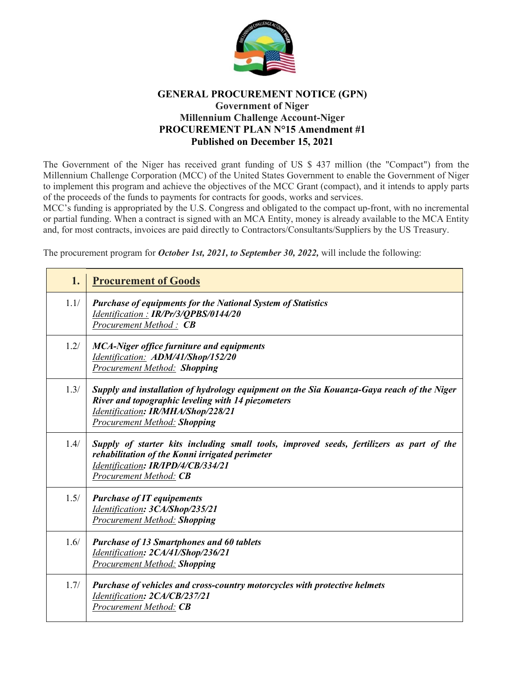

## **GENERAL PROCUREMENT NOTICE (GPN) Government of Niger Millennium Challenge Account-Niger PROCUREMENT PLAN N°15 Amendment #1 Published on December 15, 2021**

The Government of the Niger has received grant funding of US \$ 437 million (the "Compact") from the Millennium Challenge Corporation (MCC) of the United States Government to enable the Government of Niger to implement this program and achieve the objectives of the MCC Grant (compact), and it intends to apply parts of the proceeds of the funds to payments for contracts for goods, works and services.

MCC's funding is appropriated by the U.S. Congress and obligated to the compact up-front, with no incremental or partial funding. When a contract is signed with an MCA Entity, money is already available to the MCA Entity and, for most contracts, invoices are paid directly to Contractors/Consultants/Suppliers by the US Treasury.

The procurement program for *October 1st, 2021, to September 30, 2022,* will include the following:

| 1.   | <b>Procurement of Goods</b>                                                                                                                                                                                                  |
|------|------------------------------------------------------------------------------------------------------------------------------------------------------------------------------------------------------------------------------|
| 1.1/ | <b>Purchase of equipments for the National System of Statistics</b><br>Identification: IR/Pr/3/QPBS/0144/20<br>Procurement Method: CB                                                                                        |
| 1.2/ | <b>MCA-Niger office furniture and equipments</b><br>Identification: ADM/41/Shop/152/20<br><b>Procurement Method: Shopping</b>                                                                                                |
| 1.3/ | Supply and installation of hydrology equipment on the Sia Kouanza-Gaya reach of the Niger<br>River and topographic leveling with 14 piezometers<br>Identification: IR/MHA/Shop/228/21<br><b>Procurement Method: Shopping</b> |
| 1.4/ | Supply of starter kits including small tools, improved seeds, fertilizers as part of the<br>rehabilitation of the Konni irrigated perimeter<br>Identification: IR/IPD/4/CB/334/21<br>Procurement Method: CB                  |
| 1.5/ | <b>Purchase of IT equipements</b><br>Identification: 3CA/Shop/235/21<br><b>Procurement Method: Shopping</b>                                                                                                                  |
| 1.6/ | <b>Purchase of 13 Smartphones and 60 tablets</b><br>Identification: 2CA/41/Shop/236/21<br><b>Procurement Method: Shopping</b>                                                                                                |
| 1.7/ | Purchase of vehicles and cross-country motorcycles with protective helmets<br>Identification: 2CA/CB/237/21<br><b>Procurement Method: CB</b>                                                                                 |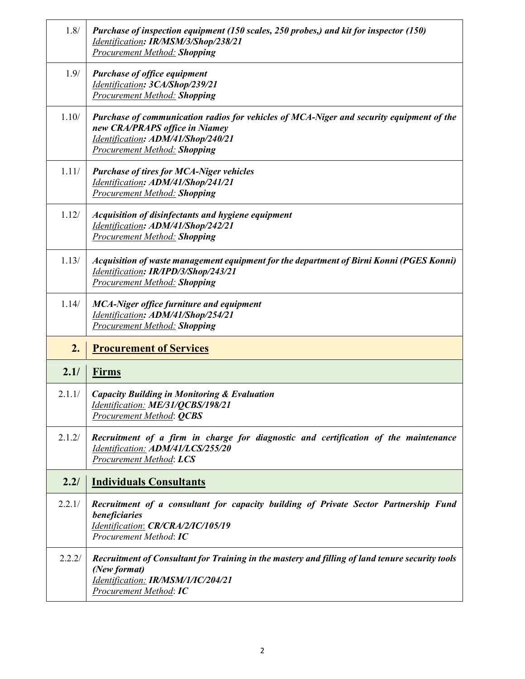| 1.8/   | Purchase of inspection equipment (150 scales, 250 probes,) and kit for inspector (150)<br>Identification: IR/MSM/3/Shop/238/21<br>Procurement Method: Shopping                                          |
|--------|---------------------------------------------------------------------------------------------------------------------------------------------------------------------------------------------------------|
| 1.9/   | <b>Purchase of office equipment</b><br>Identification: 3CA/Shop/239/21<br><b>Procurement Method: Shopping</b>                                                                                           |
| 1.10/  | Purchase of communication radios for vehicles of MCA-Niger and security equipment of the<br>new CRA/PRAPS office in Niamey<br>Identification: ADM/41/Shop/240/21<br><b>Procurement Method: Shopping</b> |
| 1.11/  | <b>Purchase of tires for MCA-Niger vehicles</b><br>Identification: ADM/41/Shop/241/21<br><b>Procurement Method: Shopping</b>                                                                            |
| 1.12/  | Acquisition of disinfectants and hygiene equipment<br>Identification: ADM/41/Shop/242/21<br><b>Procurement Method: Shopping</b>                                                                         |
| 1.13/  | Acquisition of waste management equipment for the department of Birni Konni (PGES Konni)<br>Identification: IR/IPD/3/Shop/243/21<br><b>Procurement Method: Shopping</b>                                 |
| 1.14/  | <b>MCA-Niger office furniture and equipment</b><br>Identification: ADM/41/Shop/254/21<br><b>Procurement Method: Shopping</b>                                                                            |
| 2.     | <b>Procurement of Services</b>                                                                                                                                                                          |
| 2.1/   | <b>Firms</b>                                                                                                                                                                                            |
| 2.1.1/ | <b>Capacity Building in Monitoring &amp; Evaluation</b><br>Identification: ME/31/QCBS/198/21                                                                                                            |
|        | Procurement Method: <b>QCBS</b>                                                                                                                                                                         |
| 2.1.2/ | Recruitment of a firm in charge for diagnostic and certification of the maintenance<br>Identification: ADM/41/LCS/255/20<br>Procurement Method: LCS                                                     |
| 2.2/   | <b>Individuals Consultants</b>                                                                                                                                                                          |
| 2.2.1/ | Recruitment of a consultant for capacity building of Private Sector Partnership Fund<br>beneficiaries<br>Identification: CR/CRA/2/IC/105/19<br>Procurement Method: IC                                   |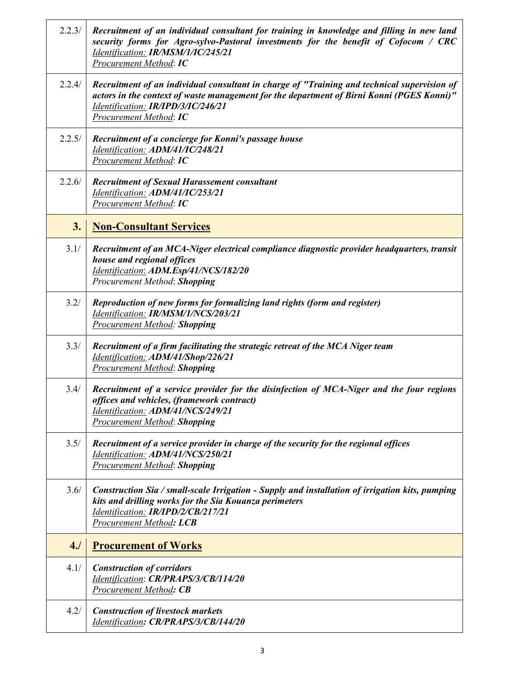| 2.2.3/ | Recruitment of an individual consultant for training in knowledge and filling in new land<br>security forms for Agro-sylvo-Pastoral investments for the benefit of Cofocom / CRC<br>Identification: IR/MSM/1/IC/245/21<br>Procurement Method: IC         |
|--------|----------------------------------------------------------------------------------------------------------------------------------------------------------------------------------------------------------------------------------------------------------|
| 2.2.4/ | Recruitment of an individual consultant in charge of "Training and technical supervision of<br>actors in the context of waste management for the department of Birni Konni (PGES Konni)"<br>Identification: IR/IPD/3/IC/246/21<br>Procurement Method: IC |
| 2.2.5/ | Recruitment of a concierge for Konni's passage house<br>Identification: ADM/41/IC/248/21<br><b>Procurement Method: IC</b>                                                                                                                                |
| 2.2.6/ | <b>Recruitment of Sexual Harassement consultant</b><br>Identification: ADM/41/IC/253/21<br><b>Procurement Method: IC</b>                                                                                                                                 |
| 3.     | <b>Non-Consultant Services</b>                                                                                                                                                                                                                           |
| 3.1/   | Recruitment of an MCA-Niger electrical compliance diagnostic provider headquarters, transit<br>house and regional offices<br>Identification: ADM.Esp/41/NCS/182/20<br>Procurement Method: Shopping                                                       |
| 3.2/   | Reproduction of new forms for formalizing land rights (form and register)<br>Identification: IR/MSM/1/NCS/203/21<br><b>Procurement Method: Shopping</b>                                                                                                  |
| 3.3/   | Recruitment of a firm facilitating the strategic retreat of the MCA Niger team<br>Identification: ADM/41/Shop/226/21<br><b>Procurement Method: Shopping</b>                                                                                              |
| 3.4/   | Recruitment of a service provider for the disinfection of MCA-Niger and the four regions<br>offices and vehicles, (framework contract)<br>Identification: ADM/41/NCS/249/21<br><b>Procurement Method: Shopping</b>                                       |
| 3.5/   | Recruitment of a service provider in charge of the security for the regional offices<br>Identification: ADM/41/NCS/250/21<br><b>Procurement Method: Shopping</b>                                                                                         |
| 3.6/   | Construction Sia / small-scale Irrigation - Supply and installation of irrigation kits, pumping<br>kits and drilling works for the Sia Kouanza perimeters<br>Identification: IR/IPD/2/CB/217/21<br><b>Procurement Method: LCB</b>                        |
| 4.1    | <b>Procurement of Works</b>                                                                                                                                                                                                                              |
| 4.1/   | <b>Construction of corridors</b><br>Identification: CR/PRAPS/3/CB/114/20<br><b>Procurement Method: CB</b>                                                                                                                                                |
| 4.2/   | <b>Construction of livestock markets</b><br>Identification: CR/PRAPS/3/CB/144/20                                                                                                                                                                         |